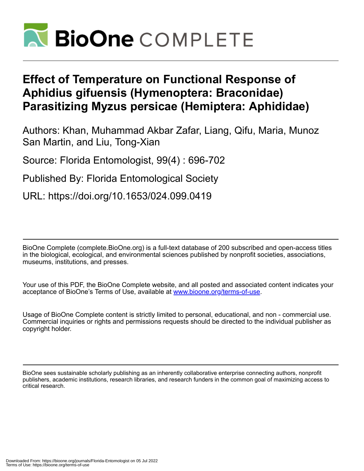

## **Effect of Temperature on Functional Response of Aphidius gifuensis (Hymenoptera: Braconidae) Parasitizing Myzus persicae (Hemiptera: Aphididae)**

Authors: Khan, Muhammad Akbar Zafar, Liang, Qifu, Maria, Munoz San Martin, and Liu, Tong-Xian

Source: Florida Entomologist, 99(4) : 696-702

Published By: Florida Entomological Society

URL: https://doi.org/10.1653/024.099.0419

BioOne Complete (complete.BioOne.org) is a full-text database of 200 subscribed and open-access titles in the biological, ecological, and environmental sciences published by nonprofit societies, associations, museums, institutions, and presses.

Your use of this PDF, the BioOne Complete website, and all posted and associated content indicates your acceptance of BioOne's Terms of Use, available at www.bioone.org/terms-of-use.

Usage of BioOne Complete content is strictly limited to personal, educational, and non - commercial use. Commercial inquiries or rights and permissions requests should be directed to the individual publisher as copyright holder.

BioOne sees sustainable scholarly publishing as an inherently collaborative enterprise connecting authors, nonprofit publishers, academic institutions, research libraries, and research funders in the common goal of maximizing access to critical research.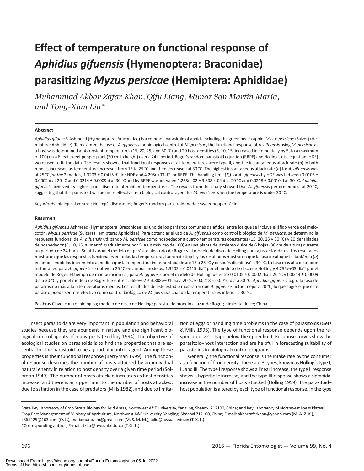# **Effect of temperature on functional response of**  *Aphidius gifuensis* **(Hymenoptera: Braconidae) parasitizing** *Myzus persicae* **(Hemiptera: Aphididae)**

*Muhammad Akbar Zafar Khan, Qifu Liang, Munoz San Martin Maria, and Tong-Xian Liu\**

#### **Abstract**

*Aphidius gifuensis* Ashmead (Hymenoptera: Braconidae) is a common parasitoid of aphids including the green peach aphid, *Myzus persicae* (Sulzer) (Hemiptera: Aphididae). To maximize the use of *A. gifuensis* for biological control of *M. persicae*, the functional response of *A. gifuensis* using *M. persicae* as a host was determined at 4 constant temperatures (15, 20, 25, and 30 °C) and 20 host densities (5, 10, 15, increased incrementally by 5, to a maximum of 100) on a 6-leaf sweet pepper plant (30 cm in height) over a 24 h period. Roger's random parasitoid equation (RRPE) and Holling's disc equation (HDE) were used to fit the data. The results showed that functional responses at all temperatures were type II, and the instantaneous attack rate (*a*) in both models increased as temperature increased from 15 to 25 °C and then decreased at 30 °C. The highest instantaneous attack rate (*a*) for *A. gifuensis* was at 25 °C for the 2 models, 1.3203 ± 0.0415 d<sup>-1</sup> for HDE and 4.295e+03 d<sup>-1</sup> for RRPE. The handling time (T<sub>h</sub>) for *A. gifuensis* by HDE was between 0.0105 ± 0.0002 d at 20 °C and 0.0214 ± 0.0009 d at 30 °C and by RRPE was between 1.265e−02 ± 3.808e−04 d at 20 °C and 0.0218 ± 0.0010 d at 30 °C. *Aphidius gifuensis* achieved its highest parasitism rate at medium temperatures. The results from this study showed that *A. gifuensis* performed best at 20 °C, suggesting that this parasitoid will be more effective as a biological control agent for *M. persicae* when the temperature is under 30 °C.

Key Words: biological control; Holling's disc model; Roger's random parasitoid model; sweet pepper; China

#### **Resumen**

*Aphidius gifuensis* Ashmead (Hymenoptera: Braconidae) es uno de los parásitos comunes de áfidos, entre los que se incluye el áfido verde del melocotón, *Myzus persicae* (Sulzer) (Hemiptera: Aphididae). Para potenciar el uso de *A. gifuensis* como control biológico de *M. persicae*, se determinó la respuesta funcional de *A. gifuensis* utilizando *M. persicae* como hospedador a cuatro temperaturas constantes (15, 20, 25 y 30 °C) y 20 densidades de hospedador (5, 10, 15, aumentó gradualmente por 5, a un máximo de 100) en una planta de pimiento dulce de 6 hojas (30 cm de altura) durante un periodo de 24 horas. Se utilizaron el modelo de parásito aleatorio de Roger y el modelo de disco de Holling para ajustar los datos. Los resultados mostraron que las respuestas funcionales en todas las temperaturas fueron de tipo II y los resultados mostraron que la tasa de ataque instantáneo (*a*) en ambos modelos incrementó a medida que la temperatura incrementaba desde 15 a 25 °C y después disminuyó a 30 °C. La tasa más alta de ataque instantáneo para *A. gifuensis* se obtuvo a 25 °C en ambos modelos, 1.3203 ± 0.0415 día−1 por el modelo de disco de Holling y 4.295e+03 día−1 por el modelo de Roger. El tiempo de manipulación (*T*h) para *A. gifuensis* por el modelo de Holling fue entre 0.0105 ± 0.0002 día a 20 °C y 0.0214 ± 0.0009 día a 30 °C y por el modelo de Roger fue entre 1.265e−02 ± 3.808e−04 día a 20 *°*C y 0.0218 ± 0.0010 día a 30 *°*C. *Aphidius gifuensis* logró la tasa de parasitismo más alta a temperaturas medias. Los resultados de este estudio mostraron que *A. gifuensis* actuó mejor a 20 °C, lo que sugiere que este parásito puede ser más efectivo como control biológico de *M. persicae* cuando la temperatura es inferior a 30 °C.

Palabras Clave: control biológico; modelo de disco de Holling; parasitoide modelo al azar de Roger; pimienta dulce; China

Insect parasitoids are very important in population and behavioral studies because they are abundant in nature and are significant biological control agents of many pests (Godfray 1994). The objective of ecological studies on parasitoids is to find the properties that are essential for the parasitoid to be a good biocontrol agent. Among these properties is their functional response (Berryman 1999). The functional response describes the number of hosts attacked by an individual natural enemy in relation to host density over a given time period (Solomon 1949). The number of hosts attacked increases as host densities increase, and there is an upper limit to the number of hosts attacked, due to satiation in the case of predators (Mills 1982), and due to limita-

tion of eggs or handling time problems in the case of parasitoids (Getz & Mills 1996). The type of functional response depends upon the response curve's shape below the upper limit. Response curves show the parasitoid–host interaction and are helpful in forecasting suitability of parasitoids in biological control programs.

Generally, the functional response is the intake rate by the consumer as a function of food density. There are 3 types, known as Holling's type I, II, and III. The type I response shows a linear increase, the type II response shows a hyperbolic increase, and the type III response shows a sigmoidal increase in the number of hosts attacked (Holling 1959). The parasitoid– host population is altered by each type of functional response. In the type

State Key Laboratory of Crop Stress Biology for Arid Areas, Northwest A&F University, Yangling, Shaanxi 712100, China; and Key Laboratory of Northwest Loess Plateau Crop Pest Management of Ministry of Agriculture, Northwest A&F University, Yangling, Shaanxi 712100, China; E-mail: akbarzafarkhan@yahoo.com (M. A. Z. K.), k861225@163.com (Q. L.), mariamunozsm@gmail.com (M. S. M. M.), txliu@nwsuaf.edu.cn (T.-X. L.) \*Corresponding author; E-mail: txliu@nwsuaf.edu.cn (T.-X. L.)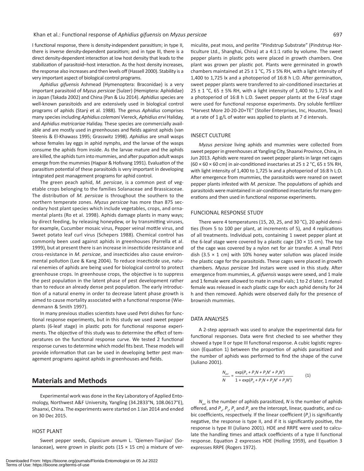I functional response, there is density-independent parasitism; in type II, there is inverse density-dependent parasitism; and in type III, there is a direct density-dependent interaction at low host density that leads to the stabilization of parasitoid–host interaction. As the host density increases, the response also increases and then levels off (Hassell 2000). Stability is a very important aspect of biological control programs.

*Aphidius gifuensis* Ashmead (Hymenoptera: Braconidae) is a very important parasitoid of *Myzus persicae* (Sulzer) (Hemiptera: Aphididae) in Japan (Takada 2002) and China (Pan & Liu 2014). *Aphidius* species are well-known parasitoids and are extensively used in biological control programs of aphids (Starý et al. 1988). The genus *Aphidius* comprises many species including *Aphidius colemani* Viereck, *Aphidius ervi* Haliday, and *Aphidius matricariae* Haliday. These species are commercially available and are mostly used in greenhouses and fields against aphids (van Steenis & El-Khawass 1995; Grasswitz 1998). *Aphidius* are small wasps whose females lay eggs in aphid nymphs, and the larvae of the wasps consume the aphids from inside. As the larvae mature and the aphids are killed, the aphids turn into mummies, and after pupation adult wasps emerge from the mummies (Hagvar & Hofsvang 1991). Evaluation of the parasitism potential of these parasitoids is very important in developing integrated pest management programs for aphid control.

The green peach aphid, *M. persicae*, is a common pest of vegetable crops belonging to the families Solanaceae and Brassicaceae. The distribution of *M. persicae* is throughout the southern to the northern temperate zones. *Myzus persicae* has more than 875 secondary host plant species which include vegetables, crops, and ornamental plants (Ro et al. 1998). Aphids damage plants in many ways; by direct feeding, by releasing honeydew, or by transmitting viruses, for example, Cucumber mosaic virus, Pepper veinal mottle virus, and Sweet potato leaf curl virus (Schepers 1988). Chemical control has commonly been used against aphids in greenhouses (Parrella et al. 1999), but at present there is an increase in insecticide resistance and cross-resistance in *M. persicae*, and insecticides also cause environmental pollution (Lee & Kang 2004). To reduce insecticide use, natural enemies of aphids are being used for biological control to protect greenhouse crops. In greenhouse crops, the objective is to suppress the pest population in the latent phase of pest development rather than to reduce an already dense pest population. The early introduction of a natural enemy in order to decrease latent phase growth is aimed to cause mortality associated with a functional response (Wiedenmann & Smith 1997).

In many previous studies scientists have used Petri dishes for functional response experiments, but in this study we used sweet pepper plants (6-leaf stage) in plastic pots for functional response experiments. The objective of this study was to determine the effect of temperatures on the functional response curve. We tested 2 functional response curves to determine which model fits best. These models will provide information that can be used in developing better pest management programs against aphids in greenhouses and fields.

## **Materials and Methods**

Experimental work was done in the Key Laboratory of Applied Entomology, Northwest A&F University, Yangling (34.2833°N, 108.0617°E), Shaanxi, China. The experiments were started on 1 Jan 2014 and ended on 30 Dec 2015.

#### HOST PLANT

Sweet pepper seeds, *Capsicum annum* L. 'Qiemen-Tianjiao' (Solanaceae), were grown in plastic pots (15  $\times$  15 cm) a mixture of vermiculite, peat moss, and perlite "Pindstrup Substrate" (Pindstrup Horticulture Ltd., Shanghai, China) at a 4:1:1 ratio by volume. The sweet pepper plants in plastic pots were placed in growth chambers. One plant was grown per plastic pot. Plants were germinated in growth chambers maintained at  $25 \pm 1$  °C, 75  $\pm$  5% RH, with a light intensity of 1,400 to 1,725 lx and a photoperiod of 16:8 h L:D. After germination, sweet pepper plants were transferred to air-conditioned insectaries at 25  $\pm$  1 °C, 65  $\pm$  5% RH, with a light intensity of 1,400 to 1,725 lx and a photoperiod of 16:8 h L:D. Sweet pepper plants at the 6-leaf stage were used for functional response experiments. Dry soluble fertilizer "Harvest More 20-20-20+TE" (Stoller Enterprises, Inc, Houston, Texas) at a rate of 1 g/L of water was applied to plants at 7 d intervals.

#### INSECT CULTURE

*Myzus persicae* living aphids and mummies were collected from sweet pepper in greenhouses at Yangling City, Shaanxi Province, China, in Jun 2013. Aphids were reared on sweet pepper plants in large net cages (60  $\times$  60  $\times$  60 cm) in air-conditioned insectaries at 25  $\pm$  2 °C, 65  $\pm$  5% RH, with light intensity of 1,400 to 1,725 lx and a photoperiod of 16:8 h L:D. After emergence from mummies, the parasitoids were reared on sweet pepper plants infested with *M. persicae*. The populations of aphids and parasitoids were maintained in air-conditioned insectaries for many generations and then used in functional response experiments.

#### FUNCIONAL RESPONSE STUDY

There were 4 temperatures (15, 20, 25, and 30 °C), 20 aphid densities (from 5 to 100 per plant, at increments of 5), and 4 replications of all treatments. Individual pots, containing 1 sweet pepper plant at the 6-leaf stage were covered by a plastic cage  $(30 \times 15 \text{ cm})$ . The top of the cage was covered by a nylon net for air transfer. A small Petri dish (3.5  $\times$  1 cm) with 10% honey water solution was placed inside the plastic cage for the parasitoids. These cages were placed in growth chambers. *Myzus persicae* 3rd instars were used in this study. After emergence from mummies, *A. gifuensis* wasps were sexed, and 1 male and 1 female were allowed to mate in small vials; 1 to 2 d later, 1 mated female was released in each plastic cage for each aphid density for 24 h and then removed. Aphids were observed daily for the presence of brownish mummies.

#### DATA ANALYSES

A 2-step approach was used to analyze the experimental data for functional responses. Data were first checked to see whether they showed a type II or type III functional response. A cubic logistic regression (Equation 1) between the proportion of aphids parasitized and the number of aphids was performed to find the shape of the curve (Juliano 2001).

$$
\frac{N_{\text{por}}}{N} = \frac{\exp(P_o + P_1 N + P_2 N^2 + P_3 N^3)}{1 + \exp(P_o + P_1 N + P_2 N^2 + P_3 N^3)}
$$
(1)

*N*<sub>par</sub> is the number of aphids parasitized, *N* is the number of aphids offered, and  $P_{\alpha}$ ,  $P_{\gamma}$ ,  $P_{\gamma}$  and  $P_{\gamma}$  are the intercept, linear, quadratic, and cubic coefficients, respectively. If the linear coefficient (P<sub>1</sub>) is significantly negative, the response is type II, and if it is significantly positive, the response is type III (Juliano 2001). HDE and RRPE were used to calculate the handling times and attack coefficients of a type II functional response. Equation 2 expresses HDE (Holling 1959), and Equation 3 expresses RRPE (Rogers 1972).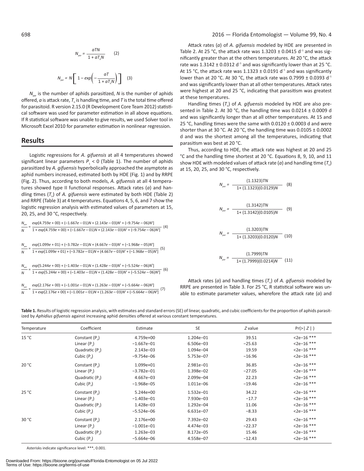$$
N_{\rho\alpha} = \frac{aTN}{1 + aT_nN} \qquad (2)
$$
  

$$
N_{\rho\alpha} = N \left[ 1 - exp\left(-\frac{aT}{1 + aT_nN}\right) \right] \qquad (3)
$$

 $N_{\text{part}}$  is the number of aphids parasitized, *N* is the number of aphids offered,  $a$  is attack rate,  $T<sub>n</sub>$  is handling time, and  $T$  is the total time offered for parasitoid. R version 2.15.0 (R Development Core Team 2012) statistical software was used for parameter estimation in all above equations. If R statistical software was unable to give results, we used Solver tool in Microsoft Excel 2010 for parameter estimation in nonlinear regression.

## **Results**

Logistic regressions for *A. gifuensis* at all 4 temperatures showed significant linear parameters  $P_1$  < 0 (Table 1). The number of aphids parasitized by *A. gifuensis* hyperbolically approached the asymptote as aphid numbers increased, estimated both by HDE (Fig. 1) and by RRPE (Fig. 2). Thus, according to both models, *A. gifuensis* at all 4 temperatures showed type II functional responses. Attack rates (*a*) and handling times (*T*h) of *A. gifuensis* were estimated by both HDE (Table 2) and RRPE (Table 3) at 4 temperatures. Equations 4, 5, 6, and 7 show the logistic regression analysis with estimated values of parameters at 15, 20, 25, and 30 °C, respectively.

| $N_{\scriptscriptstyle par}$ | $exp[4.759e + 00] + (-1.667e - 01)N + (2.143e - 03)N^2 + (-9.754e - 06)N^3]$                                                                                               |
|------------------------------|----------------------------------------------------------------------------------------------------------------------------------------------------------------------------|
| $\boldsymbol{N}$             | $\frac{1}{1 + \exp[4.759e + 00] + (-1.667e - 01)N + (2.143e - 03)N^2 + (-9.754e - 06)N^3]}$ (4)                                                                            |
|                              |                                                                                                                                                                            |
| $N_{\scriptscriptstyle par}$ |                                                                                                                                                                            |
| $\overline{N}$               | $\frac{exp[1.099e+01)+(-3.782e-01)N+(4.667e-03)N^{2}+(-1.968e-05)N^{3}]}{1+exp[1.099e+01)+(-3.782e-01)N+(4.667e-03)N^{2}+(-1.968e-05)N^{3}]}$ (5)                          |
|                              |                                                                                                                                                                            |
|                              | $\frac{N_{\text{pov}}}{N} = \frac{\exp[5.244e+00]+(-1.403e-01)N+(1.428e-03)N^2+(-5.524e-06)N^3]}{1+\exp[5.244e+00]+(-1.403e-01)N+(1.428e-03)N^2+(-5.524e-06)N^3]}$         |
| $\overline{N}$               | (6)                                                                                                                                                                        |
|                              |                                                                                                                                                                            |
|                              | $\frac{N_{\text{por}}}{N} = \frac{\exp[2.176e+00)+( -1.001e-01)N + (1.263e-03)N^2+ (-5.664e-06)N^3]}{1+\exp[2.176e+00)+( -1.001e-01)N + (1.263e-03)N^2+ (-5.664e-06)N^3]}$ |
| $\overline{N}$               |                                                                                                                                                                            |

#### 698 2016 — Florida Entomologist — Volume 99, No. 4

Attack rates (*a*) of *A. gifuensis* modeled by HDE are presented in Table 2. At 25 °C, the attack rate was  $1.3203 \pm 0.0415$  d<sup>-1</sup> and was significantly greater than at the others temperatures. At 20 °C, the attack rate was  $1.3142 \pm 0.0312$  d<sup>-1</sup> and was significantly lower than at 25 °C. At 15 °C, the attack rate was 1.1323 ± 0.0191 d<sup>-1</sup> and was significantly lower than at 20 °C. At 30 °C, the attack rate was 0.7999 ± 0.0393 d<sup>-1</sup> and was significantly lower than at all other temperatures. Attack rates were highest at 20 and 25 °C, indicating that parasitism was greatest at these temperatures.

Handling times  $(T<sub>h</sub>)$  of *A. gifuensis* modeled by HDE are also presented in Table 2. At 30 °C, the handling time was 0.0214 ± 0.0009 d and was significantly longer than at all other temperatures. At 15 and 25 °C, handling times were the same with 0.0120 ± 0.0003 d and were shorter than at 30 °C. At 20 °C, the handling time was  $0.0105 \pm 0.0002$ d and was the shortest among all the temperatures, indicating that parasitism was best at 20 °C.

Thus, according to HDE, the attack rate was highest at 20 and 25 °C and the handling time shortest at 20 °C. Equations 8, 9, 10, and 11 show HDE with modeled values of attack rate ( $a$ ) and handling time ( $T_h$ ) at 15, 20, 25, and 30 °C, respectively.

$$
N_{\rho\alpha'} = \frac{(1.1323)TN}{1 + (1.1323)(0.0129)N}
$$
 (8)  

$$
N_{\rho\alpha'} = \frac{(1.3142)TN}{1 + (1.3142)(0.0105)N}
$$
 (9)  

$$
N_{\rho\alpha'} = \frac{(1.3203)TN}{1 + (1.3203)(0.0120)N}
$$
 (10)  

$$
N_{\rho\alpha'} = \frac{(1.7999)TN}{1 + (1.7999)(0.0214)N}
$$
 (11)

Attack rates (*a*) and handling times  $(T_h)$  of *A. gifuensis* modeled by RRPE are presented in Table 3. For 25 °C, R statistical software was unable to estimate parameter values, wherefore the attack rate (*a*) and

Table 1. Results of logistic regression analysis, with estimates and standard errors (SE) of linear, quadratic, and cubic coefficients for the proportion of aphids parasitized by *Aphidius gifuensis* against increasing aphid densities offered at various constant temperatures.

| Temperature | Coefficient                 | Estimate       | SE        | Z value  | Pr(>   Z   )  |
|-------------|-----------------------------|----------------|-----------|----------|---------------|
| 15 °C       | Constant $(P_0)$            | 4.759e+00      | 1.204e-01 | 39.51    | $2e-16$ ***   |
|             | Linear $(P_1)$              | $-1.667e - 01$ | 6.506e-03 | $-25.63$ | $2e-16$ ***   |
|             | Quadratic (P.)              | $2.143e-03$    | 1.094e-04 | 19.59    | $2e-16$ ***   |
|             | Cubic $(P_2)$               | $-9.754e-06$   | 5.753e-07 | $-16.96$ | $<$ 2e-16 *** |
| 20 °C       | Constant $(P_0)$            | 1.099e+01      | 2.981e-01 | 36.85    | $<$ 2e-16 *** |
|             | Linear $(P_1)$              | $-3.782e-01$   | 1.398e-02 | $-27.05$ | $<$ 2e-16 *** |
|             | Quadratic (P <sub>2</sub> ) | 4.667e-03      | 2.099e-04 | 22.23    | $2e-16$ ***   |
|             | Cubic $(P_2)$               | $-1.968e - 05$ | 1.011e-06 | $-19.46$ | $<$ 2e-16 *** |
| 25 °C       | Constant $(P_0)$            | $5.244e+00$    | 1.532e-01 | 34.22    | $2e-16$ ***   |
|             | Linear $(P_1)$              | $-1.403e-01$   | 7.930e-03 | $-17.7$  | $<$ 2e-16 *** |
|             | Quadratic (P <sub>2</sub> ) | 1.428e-03      | 1.292e-04 | 11.06    | $<$ 2e-16 *** |
|             | Cubic $(P_2)$               | $-5.524e-06$   | 6.631e-07 | $-8.33$  | $<$ 2e-16 *** |
| 30 °C       | Constant $(P_0)$            | 2.176e+00      | 7.392e-02 | 29.43    | $<$ 2e-16 *** |
|             | Linear $(P_1)$              | $-1.001e-01$   | 4.474e-03 | $-22.37$ | $2e-16$ ***   |
|             | Quadratic (P.)              | $1.263e-03$    | 8.172e-05 | 15.46    | $2e-16$ ***   |
|             | Cubic $(P_2)$               | $-5.664e-06$   | 4.558e-07 | $-12.43$ | $<$ 2e-16 *** |

Asterisks indicate significance level: \*\*\*, 0.001.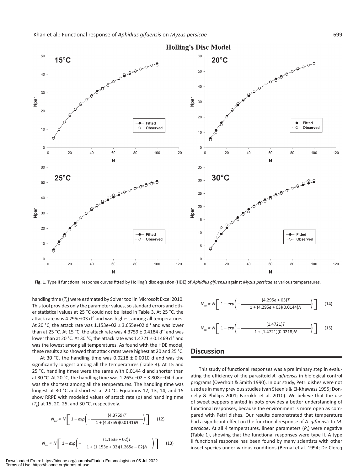

**Fig. 1.** Type II functional response curves fitted by Holling's disc equation (HDE) of *Aphidius gifuensis* against *Myzus persicae* at various temperatures.

handling time  $(T_n)$  were estimated by Solver tool in Microsoft Excel 2010. This tool provides only the parameter values, so standard errors and other statistical values at 25 °C could not be listed in Table 3. At 25 °C, the attack rate was 4.295e+03 d<sup>-1</sup> and was highest among all temperatures. At 20 °C, the attack rate was 1.153e+02 ± 3.655e+02 d<sup>-1</sup> and was lower than at 25 °C. At 15 °C, the attack rate was 4.3759 ± 0.4184 d<sup>-1</sup> and was lower than at 20 °C. At 30 °C, the attack rate was 1.4721 ± 0.1469 d−1 and was the lowest among all temperatures. As found with the HDE model, these results also showed that attack rates were highest at 20 and 25 °C.

At 30 °C, the handling time was  $0.0218 \pm 0.0010$  d and was the significantly longest among all the temperatures (Table 3). At 15 and 25 °C, handling times were the same with 0.0144 d and shorter than at 30 °C. At 20 °C, the handling time was 1.265e−02 ± 3.808e−04 d and was the shortest among all the temperatures. The handling time was longest at 30 °C and shortest at 20 °C. Equations 12, 13, 14, and 15 show RRPE with modeled values of attack rate (*a*) and handling time (*T*h) at 15, 20, 25, and 30 °C, respectively.

$$
N_{\text{por}} = N \left[ 1 - \exp\left( - \frac{(4.3759)T}{1 + (4.3759)(0.0141)N} \right) \right] \tag{12}
$$

$$
N_{\text{por}} = N \left[ 1 - \exp \left( - \frac{(1.153e + 02)T}{1 + (1.153e + 02)(1.265e - 02)N} \right) \right] \tag{13}
$$

$$
N_{\text{por}} = N \left[ 1 - \exp\left( - \frac{(4.295e + 03)T}{1 + (4.295e + 03)(0.0144)N} \right) \right] \tag{14}
$$
\n
$$
N_{\text{por}} = N \left[ 1 - \exp\left( - \frac{(1.4721)T}{1 + (1.4721)(0.0218)N} \right) \right] \tag{15}
$$

## **Discussion**

This study of functional responses was a preliminary step in evaluating the efficiency of the parasitoid *A. gifuensis* in biological control programs (Overholt & Smith 1990). In our study, Petri dishes were not used as in many previous studies (van Steenis & El-Khawass 1995; Donnelly & Phillips 2001; Farrokhi et al. 2010). We believe that the use of sweet peppers planted in pots provides a better understanding of functional responses, because the environment is more open as compared with Petri dishes. Our results demonstrated that temperature had a significant effect on the functional response of *A. gifuensis* to *M. persicae*. At all 4 temperatures, linear parameters (P<sub>1</sub>) were negative (Table 1), showing that the functional responses were type II. A type II functional response has been found by many scientists with other insect species under various conditions (Bernal et al. 1994; De Clercq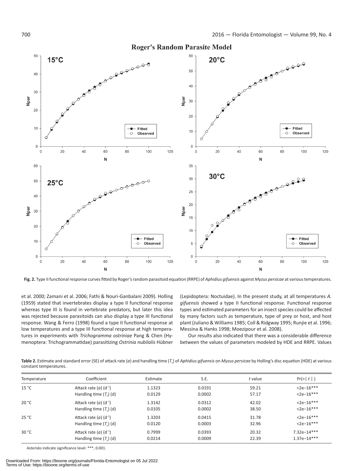

**Fig. 2.** Type II functional response curves fitted by Roger's random parasitoid equation (RRPE) of *Aphidius gifuensis* against *Myzus persicae* at various temperatures.

et al. 2000; Zamani et al. 2006; Fathi & Nouri-Ganbalani 2009). Holling (1959) stated that invertebrates display a type II functional response whereas type III is found in vertebrate predators, but later this idea was rejected because parasitoids can also display a type III functional response. Wang & Ferro (1998) found a type II functional response at low temperatures and a type III functional response at high temperatures in experiments with *Trichogramma ostriniae* Pang & Chen (Hymenoptera: Trichogrammatidae) parasitizing *Ostrinia nubilalis* Hübner

(Lepidoptera: Noctuidae). In the present study, at all temperatures *A. gifuensis* showed a type II functional response. Functional response types and estimated parameters for an insect species could be affected by many factors such as temperature, type of prey or host, and host plant (Juliano & Williams 1985; Coll & Ridgway 1995; Runjie et al. 1996; Messina & Hanks 1998; Moezipour et al. 2008).

Our results also indicated that there was a considerable difference between the values of parameters modeled by HDE and RRPE. Values

**Table 2.** Estimate and standard error (SE) of attack rate (*a*) and handling time (*T*h) of *Aphidius gifuensis* on *Myzus persicae* by Holling's disc equation (HDE) at various constant temperatures.

| Temperature | Coefficient                     | Estimate | S.E.   | t value | Pr(>   t   )  |
|-------------|---------------------------------|----------|--------|---------|---------------|
| 15 °C       | Attack rate $(a)$ $(d^{-1})$    | 1.1323   | 0.0191 | 59.21   | $<$ 2e-16***  |
|             | Handling time $(T_{\cdot})$ (d) | 0.0129   | 0.0002 | 57.17   | $<$ 2e-16***  |
| 20 °C       | Attack rate $(a)$ $(d^{-1})$    | 1.3142   | 0.0312 | 42.02   | $<$ 2e-16***  |
|             | Handling time $(T_n)$ (d)       | 0.0105   | 0.0002 | 38.50   | $<$ 2e-16***  |
| 25 °C       | Attack rate $(a)$ $(d^{-1})$    | 1.3203   | 0.0415 | 31.78   | $<$ 2e-16***  |
|             | Handling time $(T_n)$ (d)       | 0.0120   | 0.0003 | 32.96   | $<$ 2e-16***  |
| 30 °C       | Attack rate $(a)$ $(d^{-1})$    | 0.7999   | 0.0393 | 20.32   | $7.32e-14***$ |
|             | Handling time $(Tu)$ (d)        | 0.0214   | 0.0009 | 22.39   | $1.37e-14***$ |

Asterisks indicate significance level: \*\*\*, 0.001.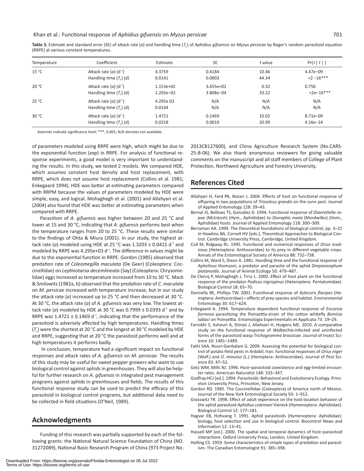**Table 3.** Estimate and standard error (SE) of attack rate (*a*) and handling time (*T*h) of *Aphidius gifuensis* on *Myzus persicae* by Roger's random parasitoid equation (RRPE) at various constant temperatures.

| Temperature | Coefficient                     | Estimate    | <b>SE</b>   | t value | Pr(>   t   ) |
|-------------|---------------------------------|-------------|-------------|---------|--------------|
| 15 °C       | Attack rate $(a)$ $(d^{-1})$    | 4.3759      | 0.4184      | 10.46   | $4.47e - 09$ |
|             | Handling time $(T_{\cdot})$ (d) | 0.0141      | 0.0003      | 44.34   | $2 - 16***$  |
| 20 °C       | Attack rate $(a)$ $(d^{-1})$    | $1.153e+02$ | $3.655e+02$ | 0.32    | 0.756        |
|             | Handling time $(T_n)$ (d)       | $1.265e-02$ | 3.808e-04   | 33.22   | $<$ 2e-16*** |
| 25 °C       | Attack rate $(a)$ $(d^{-1})$    | 4.295e 03   | N/A         | N/A     | N/A          |
|             | Handling time $(T_n)$ (d)       | 0.0144      | N/A         | N/A     | N/A          |
| 30 °C       | Attack rate $(a)$ $(d^{-1})$    | 1.4721      | 0.1469      | 10.02   | $8.71e - 09$ |
|             | Handling time $(T_n)$ (d)       | 0.0218      | 0.0010      | 20.99   | $4.16e - 14$ |

Asterisks indicate significance level: \*\*\*, 0.001; N/A denotes not available.

of parameters modeled using RRPE were high, which might be due to the exponential function (*exp*) in RRPE. For analysis of functional response experiments, a good model is very important to understanding the results. In this study, we tested 2 models. We compared HDE, which assumes constant host density and host replacement, with RRPE, which does not assume host replacement (Collins et al. 1981; Enkegaard 1994). HDE was better at estimating parameters compared with RRPM because the values of parameters modeled by HDE were simple, easy, and logical. Mohaghegh et al. (2001) and Allahyari et al. (2004) also found that HDE was better at estimating parameters when compared with RRPE.

Parasitism of *A. gifuensis* was higher between 20 and 25 °C and lower at 15 and 30 °C, indicating that *A. gifuensis* performs best when the temperature ranges from 20 to 25 °C. These results were similar to the findings of Ohta & Miura (2001). In our study, the highest attack rate (*a*) modeled using HDE at 25 °C was  $1.3203 \pm 0.0415$  d<sup>-1</sup> and modeled by RRPE was 4.295e+03 d<sup>-1</sup>. The difference in values might be due to the exponential function in RRPE. Gordon (1985) observed that predation rate of *Coleomegilla maculata* (De Geer) (Coleoptera: Coccinellidae) on *Leptinotarsa decemlineata* (Say) (Coleoptera: Chrysomelidae) eggs increased as temperature increased from 10 to 30 °C. Mack & Smilowitz (1982a, b) observed that the predation rate of *C. maculata* on *M. persicae* increased with temperature increase, but in our study the attack rate (*a*) increased up to 25 °C and then decreased at 30 °C. At 30 °C, the attack rate (*a*) of *A. gifuensis* was very low. The lowest attack rate (*a*) modeled by HDE at 30 °C was 0.7999 ± 0.0393 d<sup>-1</sup> and by RRPE was  $1.4721 \pm 0.1469$  d<sup>-1</sup>, indicating that the performance of the parasitoid is adversely affected by high temperatures. Handling times  $(T<sub>h</sub>)$  were the shortest at 20 °C and the longest at 30 °C modeled by HDE and RRPE, suggesting that at 20 °C the parasitoid performs well and at high temperatures it performs badly.

 In conclusion, temperature had a significant impact on functional responses and attack rates of *A. gifuensis* on *M. persicae*. The results of this study may be useful for sweet pepper growers who want to use biological control against aphids in greenhouses. They will also be helpful for further research on *A. gifuensis* in integrated pest management programs against aphids in greenhouses and fields. The results of this functional response study can be used to predict the efficacy of this parasitoid in biological control programs, but additional data need to be collected in field situations (O'Neil, 1989).

### **Acknowledgments**

Funding of this research was partially supported by each of the following grants: the National Natural Science Foundation of China (NO. 31272089), National Basic Research Program of China (973 Project No. 2013CB127600), and China Agriculture Research System (No.CARS-25-B-06). We also thank anonymous reviewers for giving valuable comments on the manuscript and all staff members of College of Plant Protection, Northwest Agriculture and Forestry University.

## **References Cited**

- Allahyari H, Fard PA, Nozari J. 2004. Effects of host on functional response of offspring in two populations of *Trissolcus grandis* on the sunn pest. Journal of Applied Entomology 128: 39–43.
- Bernal JS, Bellows TS, González D. 1994. Functional response of *Diaeretiella rapae* (McIntosh) (Hym., Aphidiidae) to *Diuraphis noxia* (Mordwilko) (Hom., Aphididae) hosts. Journal of Applied Entomology 118: 300–309.
- Berryman AA. 1999. The theoretical foundations of biological control, pp. 3–21 *In* Hawkins BA, Cornell HV [eds.], Theoretical Approaches to Biological Control. Cambridge University Press, Cambridge, United Kingdom.
- Coll M, Ridgway RL. 1995. Functional and numerical responses of *Orius insidiosus* (Heteroptera: Anthocoridae) to its prey in different vegetable crops. Annals of the Entomological Society of America 88: 732–738.
- Collins M, Ward S, Dixon A. 1981. Handling time and the functional response of *Aphelinus thomsoni*, a predator and parasite of the aphid *Drepanosiphum platanoidis*. Journal of Animal Ecology 50: 479–487.
- De Clercq P, Mohaghegh J, Tirry L. 2000. Effect of host plant on the functional response of the predator *Podisus nigrispinus* (Heteroptera: Pentatomidae). Biological Control 18: 65–70.
- Donnelly BE, Phillips TW. 2001. Functional response of *Xylocoris flavipes* (Hemiptera: Anthocoridae)—effects of prey species and habitat. Environmental Entomology 30: 617–624.
- Enkegaard A. 1994. Temperature dependent functional response of *Encarsia formosa* parasitizing the Poinsettia-strain of the cotton whitefly *Bemisia tabaci* on Poinsettia. Entomologia Experimentalis et Applicata 73: 19–29.
- Farrokhi S, Ashouri A, Shirazi J, Allahvari H, Huigens ME. 2010. A comparative study on the functional response of *Wolbachia*-infected and uninfected forms of the parasitoid wasp *Trichogramma brassicae*. Journal of Insect Science 10: 1481–1489.
- Fathi SAA, Nouri-Ganbalani G. 2009. Assessing the potential for biological control of potato field pests in Ardabil, Iran: functional responses of *Orius niger* (Wolf.) and *O. minutus* (L.) (Hemiptera: Anthocoridae). Journal of Pest Science 83: 47–52.
- Getz WM, Mills NJ. 1996. Host–parasitoid coexistence and egg-limited encounter rates. American Naturalist 148: 333–347.
- Godfray HCJ [ed.]. 1994. Parasitoids: Behavioral and Evolutionary Ecology. Princeton University Press, Princeton, New Jersey.
- Gordon RD. 1985. The Coccinellidae (Coleoptera) of America north of Mexico. Journal of the New York Entomological Society 93: 1–912.
- Grasswitz TR. 1998. Effect of adult experience on the host-location behavior of the aphid parasitoid *Aphidius colemani* Viereck (Hymenoptera: Aphidiidae). Biological Control 12: 177–181.
- Hagvar EB, Hofsvang T. 1991. Aphid parasitoids (Hymenoptera: Aphidiidae): biology, host selection and use in biological control. Biocontrol News and Information 12: 13–41.
- Hassell MP [ed.]. 2000. The spatial and temporal dynamics of host–parasitoid interactions. Oxford University Press, London, United Kingdom.
- Holling CS. 1959. Some characteristics of simple types of predation and parasitism. The Canadian Entomologist 91: 385–398.